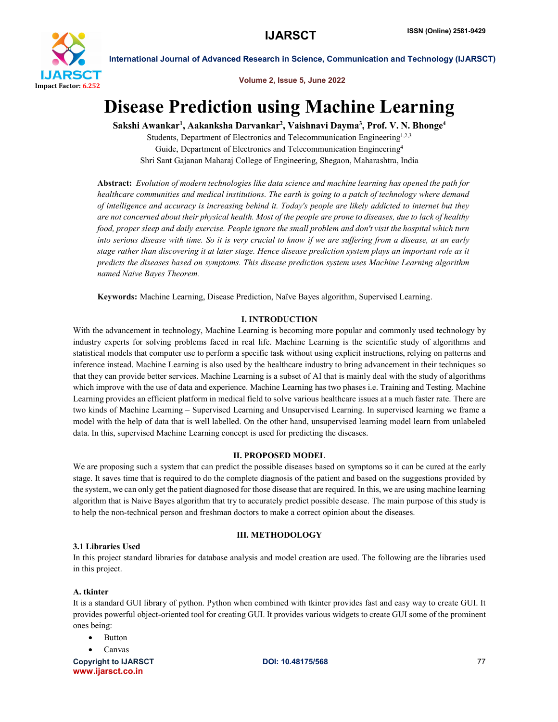

Volume 2, Issue 5, June 2022

# Disease Prediction using Machine Learning

Sakshi Awankar<sup>1</sup>, Aakanksha Darvankar<sup>2</sup>, Vaishnavi Dayma<sup>3</sup>, Prof. V. N. Bhonge<sup>4</sup>

Students, Department of Electronics and Telecommunication Engineering<sup>1,2,3</sup> Guide, Department of Electronics and Telecommunication Engineering4 Shri Sant Gajanan Maharaj College of Engineering, Shegaon, Maharashtra, India

Abstract: *Evolution of modern technologies like data science and machine learning has opened the path for healthcare communities and medical institutions. The earth is going to a patch of technology where demand of intelligence and accuracy is increasing behind it. Today's people are likely addicted to internet but they are not concerned about their physical health. Most of the people are prone to diseases, due to lack of healthy food, proper sleep and daily exercise. People ignore the small problem and don't visit the hospital which turn into serious disease with time. So it is very crucial to know if we are suffering from a disease, at an early stage rather than discovering it at later stage. Hence disease prediction system plays an important role as it predicts the diseases based on symptoms. This disease prediction system uses Machine Learning algorithm named Naive Bayes Theorem.*

Keywords: Machine Learning, Disease Prediction, Naïve Bayes algorithm, Supervised Learning.

### I. INTRODUCTION

With the advancement in technology, Machine Learning is becoming more popular and commonly used technology by industry experts for solving problems faced in real life. Machine Learning is the scientific study of algorithms and statistical models that computer use to perform a specific task without using explicit instructions, relying on patterns and inference instead. Machine Learning is also used by the healthcare industry to bring advancement in their techniques so that they can provide better services. Machine Learning is a subset of AI that is mainly deal with the study of algorithms which improve with the use of data and experience. Machine Learning has two phases i.e. Training and Testing. Machine Learning provides an efficient platform in medical field to solve various healthcare issues at a much faster rate. There are two kinds of Machine Learning – Supervised Learning and Unsupervised Learning. In supervised learning we frame a model with the help of data that is well labelled. On the other hand, unsupervised learning model learn from unlabeled data. In this, supervised Machine Learning concept is used for predicting the diseases.

#### II. PROPOSED MODEL

We are proposing such a system that can predict the possible diseases based on symptoms so it can be cured at the early stage. It saves time that is required to do the complete diagnosis of the patient and based on the suggestions provided by the system, we can only get the patient diagnosed for those disease that are required. In this, we are using machine learning algorithm that is Naive Bayes algorithm that try to accurately predict possible desease. The main purpose of this study is to help the non-technical person and freshman doctors to make a correct opinion about the diseases.

#### III. METHODOLOGY

### 3.1 Libraries Used

In this project standard libraries for database analysis and model creation are used. The following are the libraries used in this project.

#### A. tkinter

It is a standard GUI library of python. Python when combined with tkinter provides fast and easy way to create GUI. It provides powerful object-oriented tool for creating GUI. It provides various widgets to create GUI some of the prominent ones being:

- Button
- Canvas

Copyright to IJARSCT **DOI: 10.48175/568 DOI: 10.48175/568 POI: 10.48175/568** www.ijarsct.co.in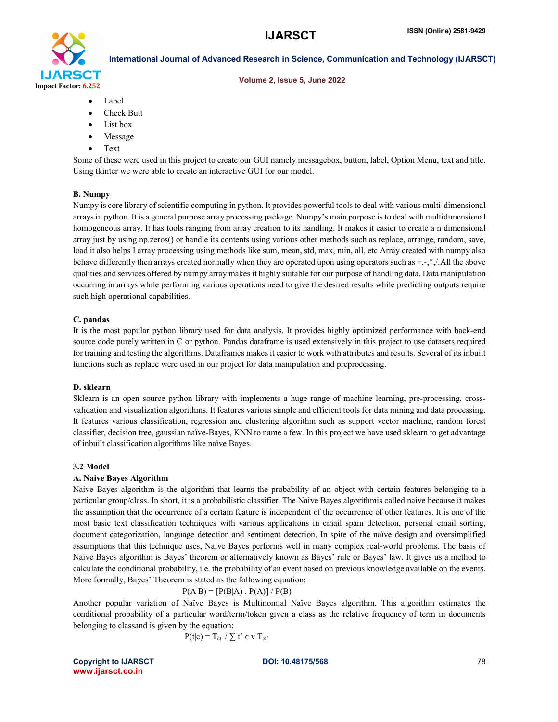

#### Volume 2, Issue 5, June 2022

- Label
- Check Butt
- List box
- Message
- Text

Some of these were used in this project to create our GUI namely messagebox, button, label, Option Menu, text and title. Using tkinter we were able to create an interactive GUI for our model.

#### B. Numpy

Numpy is core library of scientific computing in python. It provides powerful tools to deal with various multi-dimensional arrays in python. It is a general purpose array processing package. Numpy's main purpose is to deal with multidimensional homogeneous array. It has tools ranging from array creation to its handling. It makes it easier to create a n dimensional array just by using np.zeros() or handle its contents using various other methods such as replace, arrange, random, save, load it also helps I array processing using methods like sum, mean, std, max, min, all, etc Array created with numpy also behave differently then arrays created normally when they are operated upon using operators such as  $+,-$ , $*,/$ .All the above qualities and services offered by numpy array makes it highly suitable for our purpose of handling data. Data manipulation occurring in arrays while performing various operations need to give the desired results while predicting outputs require such high operational capabilities.

#### C. pandas

It is the most popular python library used for data analysis. It provides highly optimized performance with back-end source code purely written in C or python. Pandas dataframe is used extensively in this project to use datasets required for training and testing the algorithms. Dataframes makes it easier to work with attributes and results. Several of its inbuilt functions such as replace were used in our project for data manipulation and preprocessing.

#### D. sklearn

Sklearn is an open source python library with implements a huge range of machine learning, pre-processing, crossvalidation and visualization algorithms. It features various simple and efficient tools for data mining and data processing. It features various classification, regression and clustering algorithm such as support vector machine, random forest classifier, decision tree, gaussian naïve-Bayes, KNN to name a few. In this project we have used sklearn to get advantage of inbuilt classification algorithms like naïve Bayes.

#### 3.2 Model

#### A. Naive Bayes Algorithm

Naive Bayes algorithm is the algorithm that learns the probability of an object with certain features belonging to a particular group/class. In short, it is a probabilistic classifier. The Naive Bayes algorithmis called naive because it makes the assumption that the occurrence of a certain feature is independent of the occurrence of other features. It is one of the most basic text classification techniques with various applications in email spam detection, personal email sorting, document categorization, language detection and sentiment detection. In spite of the naïve design and oversimplified assumptions that this technique uses, Naive Bayes performs well in many complex real-world problems. The basis of Naive Bayes algorithm is Bayes' theorem or alternatively known as Bayes' rule or Bayes' law. It gives us a method to calculate the conditional probability, i.e. the probability of an event based on previous knowledge available on the events. More formally, Bayes' Theorem is stated as the following equation:

$$
P(A|B) = [P(B|A) . P(A)] / P(B)
$$

Another popular variation of Naïve Bayes is Multinomial Naïve Bayes algorithm. This algorithm estimates the conditional probability of a particular word/term/token given a class as the relative frequency of term in documents belonging to classand is given by the equation:

$$
P(t|c) = T_{ct} / \sum t' \in v T_{ct'}
$$

Copyright to IJARSCT **DOI: 10.48175/568** 78 www.ijarsct.co.in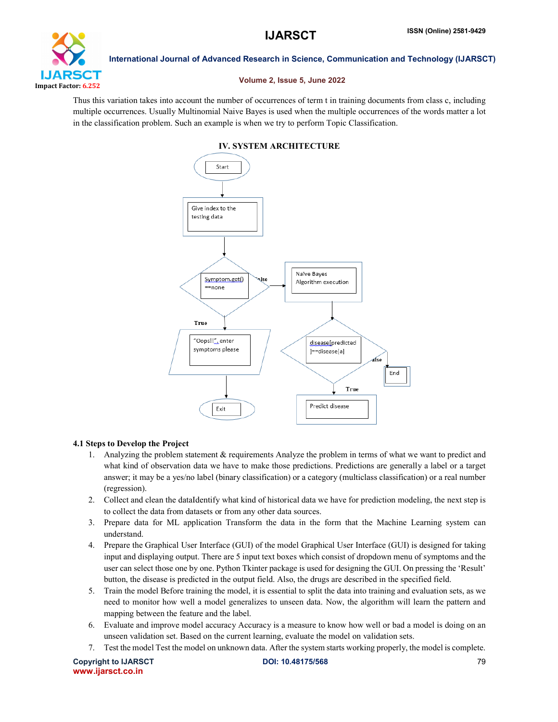

#### Volume 2, Issue 5, June 2022

Thus this variation takes into account the number of occurrences of term t in training documents from class c, including multiple occurrences. Usually Multinomial Naive Bayes is used when the multiple occurrences of the words matter a lot in the classification problem. Such an example is when we try to perform Topic Classification.

## IV. SYSTEM ARCHITECTURE Start



#### 4.1 Steps to Develop the Project

- 1. Analyzing the problem statement & requirements Analyze the problem in terms of what we want to predict and what kind of observation data we have to make those predictions. Predictions are generally a label or a target answer; it may be a yes/no label (binary classification) or a category (multiclass classification) or a real number (regression).
- 2. Collect and clean the dataIdentify what kind of historical data we have for prediction modeling, the next step is to collect the data from datasets or from any other data sources.
- 3. Prepare data for ML application Transform the data in the form that the Machine Learning system can understand.
- 4. Prepare the Graphical User Interface (GUI) of the model Graphical User Interface (GUI) is designed for taking input and displaying output. There are 5 input text boxes which consist of dropdown menu of symptoms and the user can select those one by one. Python Tkinter package is used for designing the GUI. On pressing the 'Result' button, the disease is predicted in the output field. Also, the drugs are described in the specified field.
- 5. Train the model Before training the model, it is essential to split the data into training and evaluation sets, as we need to monitor how well a model generalizes to unseen data. Now, the algorithm will learn the pattern and mapping between the feature and the label.
- 6. Evaluate and improve model accuracy Accuracy is a measure to know how well or bad a model is doing on an unseen validation set. Based on the current learning, evaluate the model on validation sets.
- 7. Test the model Test the model on unknown data. After the system starts working properly, the model is complete.

Copyright to IJARSCT **DOI: 10.48175/568** 79 www.ijarsct.co.in